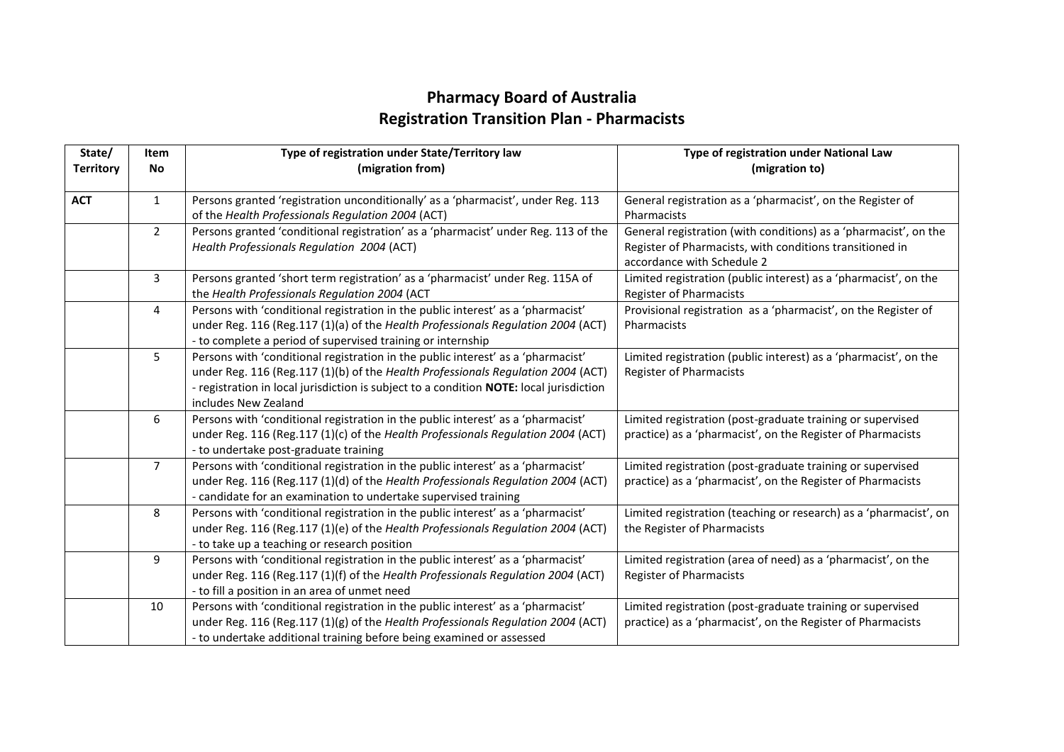## **Pharmacy Board of Australia Registration Transition Plan - Pharmacists**

| State/<br><b>Territory</b> | Item<br>No     | Type of registration under State/Territory law<br>(migration from)                                                                                                                                                                                                                      | Type of registration under National Law<br>(migration to)                                                                                                  |
|----------------------------|----------------|-----------------------------------------------------------------------------------------------------------------------------------------------------------------------------------------------------------------------------------------------------------------------------------------|------------------------------------------------------------------------------------------------------------------------------------------------------------|
| <b>ACT</b>                 | $\mathbf{1}$   | Persons granted 'registration unconditionally' as a 'pharmacist', under Reg. 113<br>of the Health Professionals Regulation 2004 (ACT)                                                                                                                                                   | General registration as a 'pharmacist', on the Register of<br>Pharmacists                                                                                  |
|                            | $2^{\circ}$    | Persons granted 'conditional registration' as a 'pharmacist' under Reg. 113 of the<br>Health Professionals Regulation 2004 (ACT)                                                                                                                                                        | General registration (with conditions) as a 'pharmacist', on the<br>Register of Pharmacists, with conditions transitioned in<br>accordance with Schedule 2 |
|                            | 3              | Persons granted 'short term registration' as a 'pharmacist' under Reg. 115A of<br>the Health Professionals Regulation 2004 (ACT                                                                                                                                                         | Limited registration (public interest) as a 'pharmacist', on the<br><b>Register of Pharmacists</b>                                                         |
|                            | 4              | Persons with 'conditional registration in the public interest' as a 'pharmacist'<br>under Reg. 116 (Reg.117 (1)(a) of the Health Professionals Regulation 2004 (ACT)<br>- to complete a period of supervised training or internship                                                     | Provisional registration as a 'pharmacist', on the Register of<br>Pharmacists                                                                              |
|                            | 5              | Persons with 'conditional registration in the public interest' as a 'pharmacist'<br>under Reg. 116 (Reg.117 (1)(b) of the Health Professionals Regulation 2004 (ACT)<br>- registration in local jurisdiction is subject to a condition NOTE: local jurisdiction<br>includes New Zealand | Limited registration (public interest) as a 'pharmacist', on the<br><b>Register of Pharmacists</b>                                                         |
|                            | 6              | Persons with 'conditional registration in the public interest' as a 'pharmacist'<br>under Reg. 116 (Reg.117 (1)(c) of the Health Professionals Regulation 2004 (ACT)<br>- to undertake post-graduate training                                                                           | Limited registration (post-graduate training or supervised<br>practice) as a 'pharmacist', on the Register of Pharmacists                                  |
|                            | $\overline{7}$ | Persons with 'conditional registration in the public interest' as a 'pharmacist'<br>under Reg. 116 (Reg.117 (1)(d) of the Health Professionals Regulation 2004 (ACT)<br>- candidate for an examination to undertake supervised training                                                 | Limited registration (post-graduate training or supervised<br>practice) as a 'pharmacist', on the Register of Pharmacists                                  |
|                            | 8              | Persons with 'conditional registration in the public interest' as a 'pharmacist'<br>under Reg. 116 (Reg.117 (1)(e) of the Health Professionals Regulation 2004 (ACT)<br>- to take up a teaching or research position                                                                    | Limited registration (teaching or research) as a 'pharmacist', on<br>the Register of Pharmacists                                                           |
|                            | 9              | Persons with 'conditional registration in the public interest' as a 'pharmacist'<br>under Reg. 116 (Reg.117 (1)(f) of the Health Professionals Regulation 2004 (ACT)<br>- to fill a position in an area of unmet need                                                                   | Limited registration (area of need) as a 'pharmacist', on the<br><b>Register of Pharmacists</b>                                                            |
|                            | 10             | Persons with 'conditional registration in the public interest' as a 'pharmacist'<br>under Reg. 116 (Reg.117 (1)(g) of the Health Professionals Regulation 2004 (ACT)<br>- to undertake additional training before being examined or assessed                                            | Limited registration (post-graduate training or supervised<br>practice) as a 'pharmacist', on the Register of Pharmacists                                  |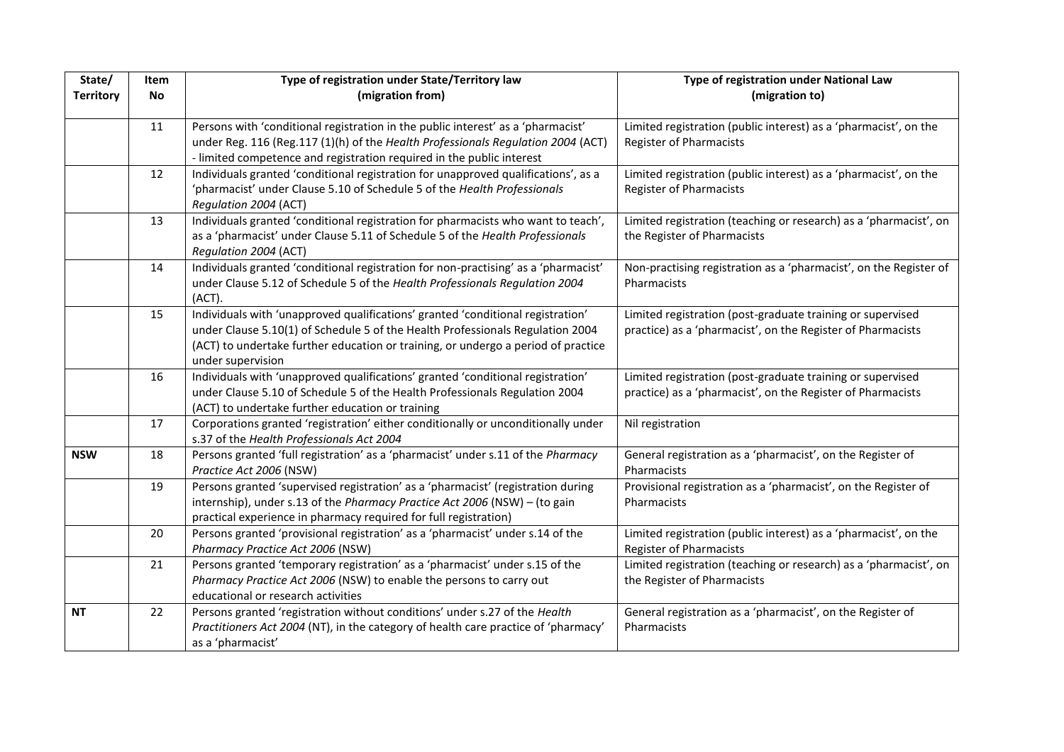| State/           | Item      | Type of registration under State/Territory law                                                              | Type of registration under National Law                                       |
|------------------|-----------|-------------------------------------------------------------------------------------------------------------|-------------------------------------------------------------------------------|
| <b>Territory</b> | <b>No</b> | (migration from)                                                                                            | (migration to)                                                                |
|                  |           |                                                                                                             |                                                                               |
|                  | 11        | Persons with 'conditional registration in the public interest' as a 'pharmacist'                            | Limited registration (public interest) as a 'pharmacist', on the              |
|                  |           | under Reg. 116 (Reg.117 (1)(h) of the Health Professionals Regulation 2004 (ACT)                            | <b>Register of Pharmacists</b>                                                |
|                  |           | - limited competence and registration required in the public interest                                       |                                                                               |
|                  | 12        | Individuals granted 'conditional registration for unapproved qualifications', as a                          | Limited registration (public interest) as a 'pharmacist', on the              |
|                  |           | 'pharmacist' under Clause 5.10 of Schedule 5 of the Health Professionals                                    | <b>Register of Pharmacists</b>                                                |
|                  | 13        | Regulation 2004 (ACT)<br>Individuals granted 'conditional registration for pharmacists who want to teach',  | Limited registration (teaching or research) as a 'pharmacist', on             |
|                  |           | as a 'pharmacist' under Clause 5.11 of Schedule 5 of the Health Professionals                               | the Register of Pharmacists                                                   |
|                  |           | Regulation 2004 (ACT)                                                                                       |                                                                               |
|                  | 14        | Individuals granted 'conditional registration for non-practising' as a 'pharmacist'                         | Non-practising registration as a 'pharmacist', on the Register of             |
|                  |           | under Clause 5.12 of Schedule 5 of the Health Professionals Regulation 2004                                 | Pharmacists                                                                   |
|                  |           | (ACT).                                                                                                      |                                                                               |
|                  | 15        | Individuals with 'unapproved qualifications' granted 'conditional registration'                             | Limited registration (post-graduate training or supervised                    |
|                  |           | under Clause 5.10(1) of Schedule 5 of the Health Professionals Regulation 2004                              | practice) as a 'pharmacist', on the Register of Pharmacists                   |
|                  |           | (ACT) to undertake further education or training, or undergo a period of practice                           |                                                                               |
|                  |           | under supervision                                                                                           |                                                                               |
|                  | 16        | Individuals with 'unapproved qualifications' granted 'conditional registration'                             | Limited registration (post-graduate training or supervised                    |
|                  |           | under Clause 5.10 of Schedule 5 of the Health Professionals Regulation 2004                                 | practice) as a 'pharmacist', on the Register of Pharmacists                   |
|                  |           | (ACT) to undertake further education or training                                                            |                                                                               |
|                  | 17        | Corporations granted 'registration' either conditionally or unconditionally under                           | Nil registration                                                              |
|                  |           | s.37 of the Health Professionals Act 2004                                                                   |                                                                               |
| <b>NSW</b>       | 18        | Persons granted 'full registration' as a 'pharmacist' under s.11 of the Pharmacy                            | General registration as a 'pharmacist', on the Register of                    |
|                  | 19        | Practice Act 2006 (NSW)<br>Persons granted 'supervised registration' as a 'pharmacist' (registration during | Pharmacists<br>Provisional registration as a 'pharmacist', on the Register of |
|                  |           | internship), under s.13 of the Pharmacy Practice Act 2006 (NSW) - (to gain                                  | Pharmacists                                                                   |
|                  |           | practical experience in pharmacy required for full registration)                                            |                                                                               |
|                  | 20        | Persons granted 'provisional registration' as a 'pharmacist' under s.14 of the                              | Limited registration (public interest) as a 'pharmacist', on the              |
|                  |           | Pharmacy Practice Act 2006 (NSW)                                                                            | <b>Register of Pharmacists</b>                                                |
|                  | 21        | Persons granted 'temporary registration' as a 'pharmacist' under s.15 of the                                | Limited registration (teaching or research) as a 'pharmacist', on             |
|                  |           | Pharmacy Practice Act 2006 (NSW) to enable the persons to carry out                                         | the Register of Pharmacists                                                   |
|                  |           | educational or research activities                                                                          |                                                                               |
| <b>NT</b>        | 22        | Persons granted 'registration without conditions' under s.27 of the Health                                  | General registration as a 'pharmacist', on the Register of                    |
|                  |           | Practitioners Act 2004 (NT), in the category of health care practice of 'pharmacy'                          | Pharmacists                                                                   |
|                  |           | as a 'pharmacist'                                                                                           |                                                                               |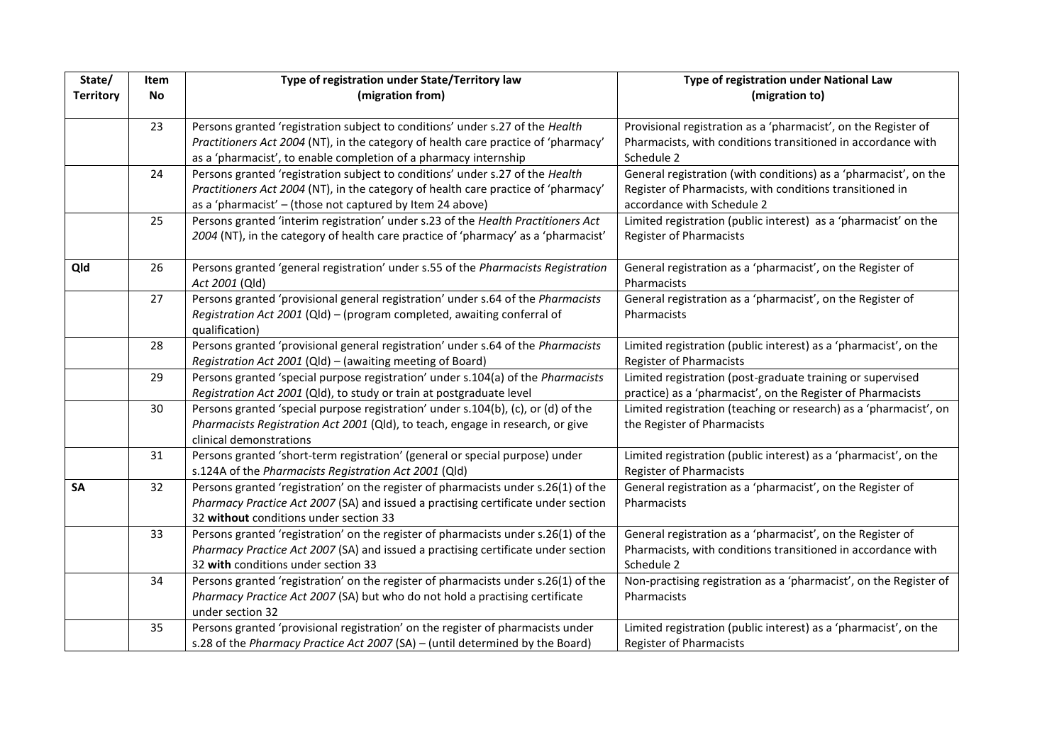| State/<br><b>Territory</b> | Item<br>No | Type of registration under State/Territory law<br>(migration from)                                                                                       | Type of registration under National Law<br>(migration to)                                                                 |
|----------------------------|------------|----------------------------------------------------------------------------------------------------------------------------------------------------------|---------------------------------------------------------------------------------------------------------------------------|
|                            |            |                                                                                                                                                          |                                                                                                                           |
|                            | 23         | Persons granted 'registration subject to conditions' under s.27 of the Health                                                                            | Provisional registration as a 'pharmacist', on the Register of                                                            |
|                            |            | Practitioners Act 2004 (NT), in the category of health care practice of 'pharmacy'                                                                       | Pharmacists, with conditions transitioned in accordance with                                                              |
|                            |            | as a 'pharmacist', to enable completion of a pharmacy internship                                                                                         | Schedule 2                                                                                                                |
|                            | 24         | Persons granted 'registration subject to conditions' under s.27 of the Health                                                                            | General registration (with conditions) as a 'pharmacist', on the                                                          |
|                            |            | Practitioners Act 2004 (NT), in the category of health care practice of 'pharmacy'                                                                       | Register of Pharmacists, with conditions transitioned in                                                                  |
|                            |            | as a 'pharmacist' - (those not captured by Item 24 above)                                                                                                | accordance with Schedule 2                                                                                                |
|                            | 25         | Persons granted 'interim registration' under s.23 of the Health Practitioners Act                                                                        | Limited registration (public interest) as a 'pharmacist' on the                                                           |
|                            |            | 2004 (NT), in the category of health care practice of 'pharmacy' as a 'pharmacist'                                                                       | <b>Register of Pharmacists</b>                                                                                            |
| Qld                        | 26         | Persons granted 'general registration' under s.55 of the Pharmacists Registration                                                                        | General registration as a 'pharmacist', on the Register of                                                                |
|                            |            | Act 2001 (Qld)                                                                                                                                           | Pharmacists                                                                                                               |
|                            | 27         | Persons granted 'provisional general registration' under s.64 of the Pharmacists                                                                         | General registration as a 'pharmacist', on the Register of                                                                |
|                            |            | Registration Act 2001 (Qld) - (program completed, awaiting conferral of                                                                                  | Pharmacists                                                                                                               |
|                            |            | qualification)                                                                                                                                           |                                                                                                                           |
|                            | 28         | Persons granted 'provisional general registration' under s.64 of the Pharmacists                                                                         | Limited registration (public interest) as a 'pharmacist', on the                                                          |
|                            |            | Registration Act 2001 (Qld) - (awaiting meeting of Board)                                                                                                | Register of Pharmacists                                                                                                   |
|                            | 29         | Persons granted 'special purpose registration' under s.104(a) of the Pharmacists<br>Registration Act 2001 (Qld), to study or train at postgraduate level | Limited registration (post-graduate training or supervised<br>practice) as a 'pharmacist', on the Register of Pharmacists |
|                            | 30         | Persons granted 'special purpose registration' under s.104(b), (c), or (d) of the                                                                        | Limited registration (teaching or research) as a 'pharmacist', on                                                         |
|                            |            | Pharmacists Registration Act 2001 (Qld), to teach, engage in research, or give                                                                           | the Register of Pharmacists                                                                                               |
|                            |            | clinical demonstrations                                                                                                                                  |                                                                                                                           |
|                            | 31         | Persons granted 'short-term registration' (general or special purpose) under                                                                             | Limited registration (public interest) as a 'pharmacist', on the                                                          |
|                            |            | s.124A of the Pharmacists Registration Act 2001 (Qld)                                                                                                    | <b>Register of Pharmacists</b>                                                                                            |
| <b>SA</b>                  | 32         | Persons granted 'registration' on the register of pharmacists under s.26(1) of the                                                                       | General registration as a 'pharmacist', on the Register of                                                                |
|                            |            | Pharmacy Practice Act 2007 (SA) and issued a practising certificate under section                                                                        | Pharmacists                                                                                                               |
|                            |            | 32 without conditions under section 33                                                                                                                   |                                                                                                                           |
|                            | 33         | Persons granted 'registration' on the register of pharmacists under s.26(1) of the                                                                       | General registration as a 'pharmacist', on the Register of                                                                |
|                            |            | Pharmacy Practice Act 2007 (SA) and issued a practising certificate under section                                                                        | Pharmacists, with conditions transitioned in accordance with                                                              |
|                            |            | 32 with conditions under section 33                                                                                                                      | Schedule 2                                                                                                                |
|                            | 34         | Persons granted 'registration' on the register of pharmacists under s.26(1) of the                                                                       | Non-practising registration as a 'pharmacist', on the Register of                                                         |
|                            |            | Pharmacy Practice Act 2007 (SA) but who do not hold a practising certificate                                                                             | Pharmacists                                                                                                               |
|                            |            | under section 32                                                                                                                                         |                                                                                                                           |
|                            | 35         | Persons granted 'provisional registration' on the register of pharmacists under                                                                          | Limited registration (public interest) as a 'pharmacist', on the                                                          |
|                            |            | s.28 of the Pharmacy Practice Act 2007 (SA) - (until determined by the Board)                                                                            | <b>Register of Pharmacists</b>                                                                                            |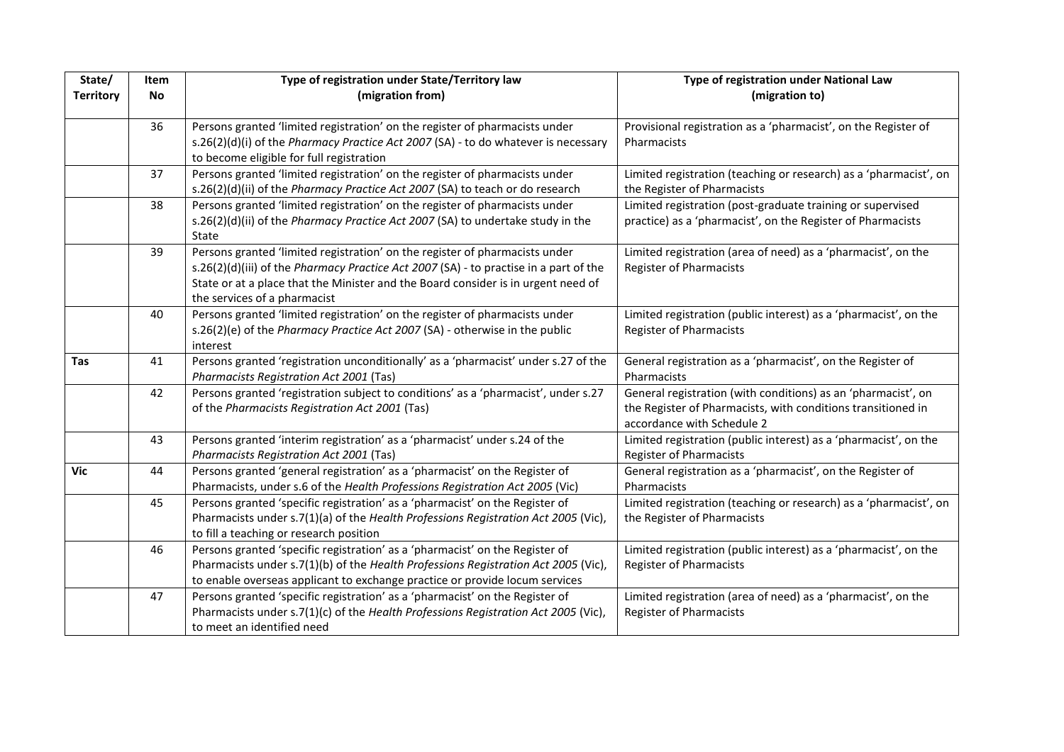| State/           | Item      | Type of registration under State/Territory law                                        | Type of registration under National Law                           |
|------------------|-----------|---------------------------------------------------------------------------------------|-------------------------------------------------------------------|
| <b>Territory</b> | <b>No</b> | (migration from)                                                                      | (migration to)                                                    |
|                  |           |                                                                                       |                                                                   |
|                  | 36        | Persons granted 'limited registration' on the register of pharmacists under           | Provisional registration as a 'pharmacist', on the Register of    |
|                  |           | s.26(2)(d)(i) of the Pharmacy Practice Act 2007 (SA) - to do whatever is necessary    | Pharmacists                                                       |
|                  |           | to become eligible for full registration                                              |                                                                   |
|                  | 37        | Persons granted 'limited registration' on the register of pharmacists under           | Limited registration (teaching or research) as a 'pharmacist', on |
|                  |           | s.26(2)(d)(ii) of the Pharmacy Practice Act 2007 (SA) to teach or do research         | the Register of Pharmacists                                       |
|                  | 38        | Persons granted 'limited registration' on the register of pharmacists under           | Limited registration (post-graduate training or supervised        |
|                  |           | s.26(2)(d)(ii) of the Pharmacy Practice Act 2007 (SA) to undertake study in the       | practice) as a 'pharmacist', on the Register of Pharmacists       |
|                  |           | State                                                                                 |                                                                   |
|                  | 39        | Persons granted 'limited registration' on the register of pharmacists under           | Limited registration (area of need) as a 'pharmacist', on the     |
|                  |           | s.26(2)(d)(iii) of the Pharmacy Practice Act 2007 (SA) - to practise in a part of the | <b>Register of Pharmacists</b>                                    |
|                  |           | State or at a place that the Minister and the Board consider is in urgent need of     |                                                                   |
|                  |           | the services of a pharmacist                                                          |                                                                   |
|                  | 40        | Persons granted 'limited registration' on the register of pharmacists under           | Limited registration (public interest) as a 'pharmacist', on the  |
|                  |           | s.26(2)(e) of the Pharmacy Practice Act 2007 (SA) - otherwise in the public           | <b>Register of Pharmacists</b>                                    |
|                  |           | interest                                                                              |                                                                   |
| Tas              | 41        | Persons granted 'registration unconditionally' as a 'pharmacist' under s.27 of the    | General registration as a 'pharmacist', on the Register of        |
|                  |           | Pharmacists Registration Act 2001 (Tas)                                               | Pharmacists                                                       |
|                  | 42        | Persons granted 'registration subject to conditions' as a 'pharmacist', under s.27    | General registration (with conditions) as an 'pharmacist', on     |
|                  |           | of the Pharmacists Registration Act 2001 (Tas)                                        | the Register of Pharmacists, with conditions transitioned in      |
|                  |           |                                                                                       | accordance with Schedule 2                                        |
|                  | 43        | Persons granted 'interim registration' as a 'pharmacist' under s.24 of the            | Limited registration (public interest) as a 'pharmacist', on the  |
|                  |           | Pharmacists Registration Act 2001 (Tas)                                               | <b>Register of Pharmacists</b>                                    |
| Vic              | 44        | Persons granted 'general registration' as a 'pharmacist' on the Register of           | General registration as a 'pharmacist', on the Register of        |
|                  |           | Pharmacists, under s.6 of the Health Professions Registration Act 2005 (Vic)          | Pharmacists                                                       |
|                  | 45        | Persons granted 'specific registration' as a 'pharmacist' on the Register of          | Limited registration (teaching or research) as a 'pharmacist', on |
|                  |           | Pharmacists under s.7(1)(a) of the Health Professions Registration Act 2005 (Vic),    | the Register of Pharmacists                                       |
|                  |           | to fill a teaching or research position                                               |                                                                   |
|                  | 46        | Persons granted 'specific registration' as a 'pharmacist' on the Register of          | Limited registration (public interest) as a 'pharmacist', on the  |
|                  |           | Pharmacists under s.7(1)(b) of the Health Professions Registration Act 2005 (Vic),    | <b>Register of Pharmacists</b>                                    |
|                  |           | to enable overseas applicant to exchange practice or provide locum services           |                                                                   |
|                  | 47        | Persons granted 'specific registration' as a 'pharmacist' on the Register of          | Limited registration (area of need) as a 'pharmacist', on the     |
|                  |           | Pharmacists under s.7(1)(c) of the Health Professions Registration Act 2005 (Vic),    | <b>Register of Pharmacists</b>                                    |
|                  |           | to meet an identified need                                                            |                                                                   |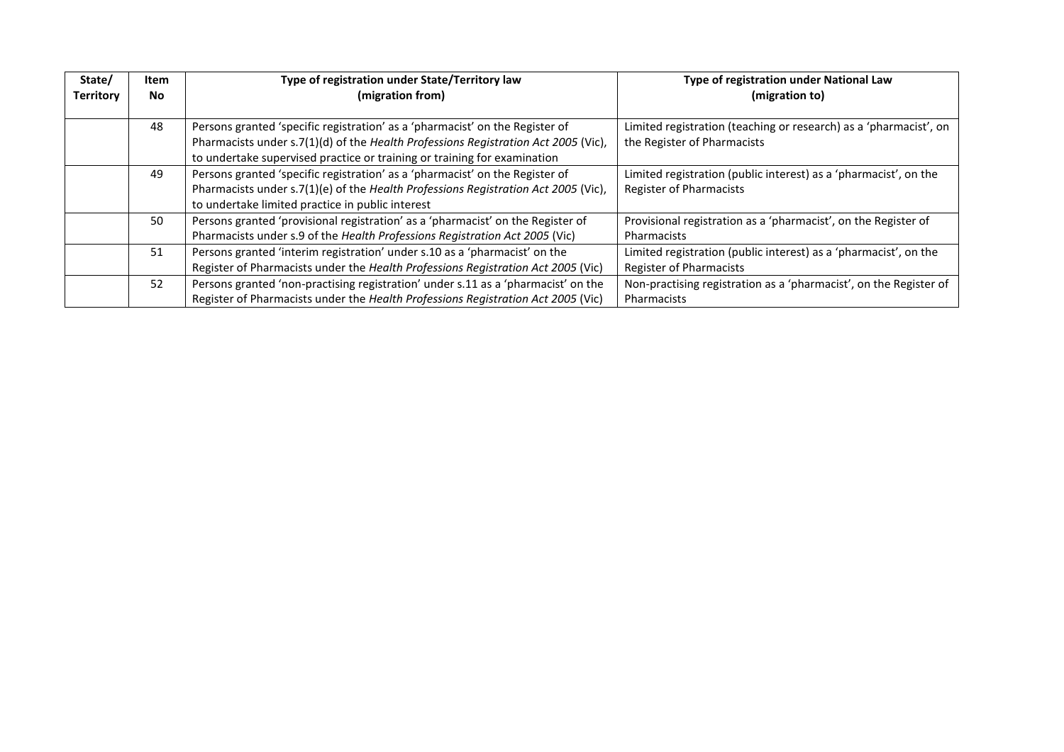| State/<br><b>Territory</b> | Item<br>No. | Type of registration under State/Territory law<br>(migration from)                                                                                                                                                                             | Type of registration under National Law<br>(migration to)                                          |
|----------------------------|-------------|------------------------------------------------------------------------------------------------------------------------------------------------------------------------------------------------------------------------------------------------|----------------------------------------------------------------------------------------------------|
|                            | 48          | Persons granted 'specific registration' as a 'pharmacist' on the Register of<br>Pharmacists under s.7(1)(d) of the Health Professions Registration Act 2005 (Vic),<br>to undertake supervised practice or training or training for examination | Limited registration (teaching or research) as a 'pharmacist', on<br>the Register of Pharmacists   |
|                            | 49          | Persons granted 'specific registration' as a 'pharmacist' on the Register of<br>Pharmacists under s.7(1)(e) of the Health Professions Registration Act 2005 (Vic),<br>to undertake limited practice in public interest                         | Limited registration (public interest) as a 'pharmacist', on the<br><b>Register of Pharmacists</b> |
|                            | 50          | Persons granted 'provisional registration' as a 'pharmacist' on the Register of<br>Pharmacists under s.9 of the Health Professions Registration Act 2005 (Vic)                                                                                 | Provisional registration as a 'pharmacist', on the Register of<br>Pharmacists                      |
|                            | 51          | Persons granted 'interim registration' under s.10 as a 'pharmacist' on the<br>Register of Pharmacists under the Health Professions Registration Act 2005 (Vic)                                                                                 | Limited registration (public interest) as a 'pharmacist', on the<br><b>Register of Pharmacists</b> |
|                            | 52          | Persons granted 'non-practising registration' under s.11 as a 'pharmacist' on the<br>Register of Pharmacists under the Health Professions Registration Act 2005 (Vic)                                                                          | Non-practising registration as a 'pharmacist', on the Register of<br>Pharmacists                   |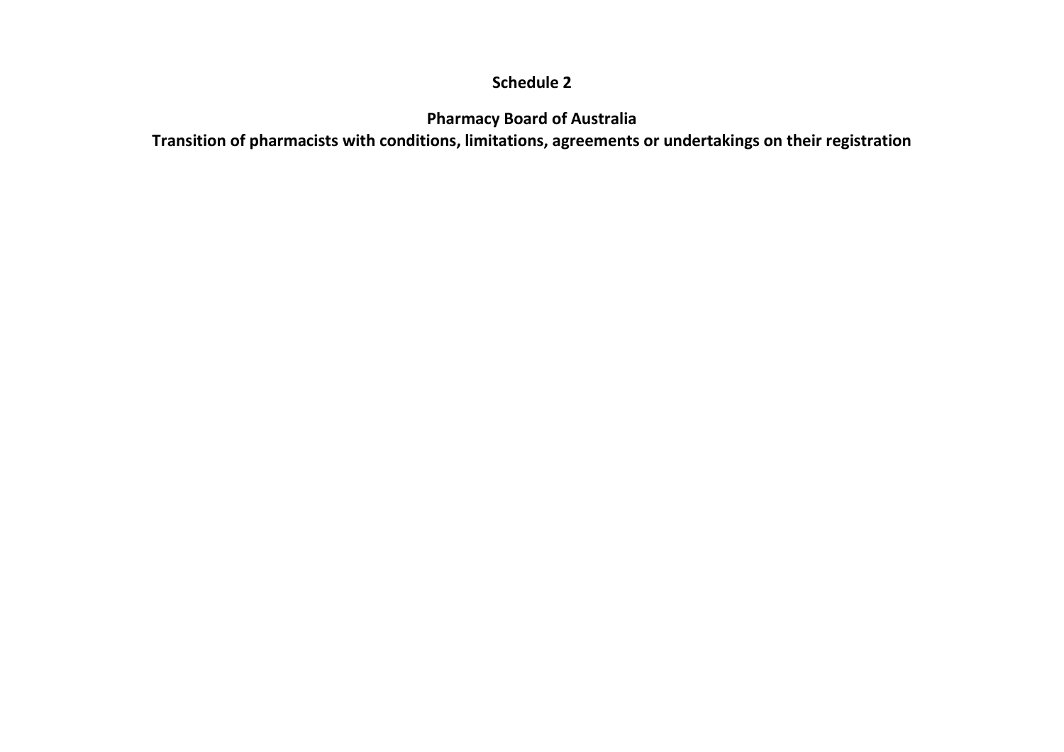## **Schedule 2**

**Pharmacy Board of Australia**

**Transition of pharmacists with conditions, limitations, agreements or undertakings on their registration**